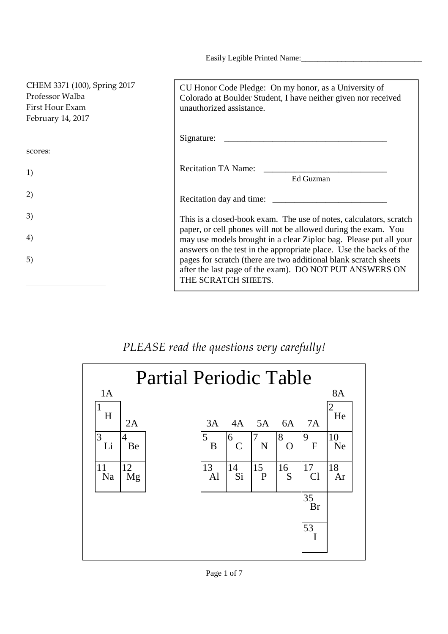Easily Legible Printed Name:

| CHEM 3371 (100), Spring 2017<br>Professor Walba<br>First Hour Exam<br>February 14, 2017 | CU Honor Code Pledge: On my honor, as a University of<br>Colorado at Boulder Student, I have neither given nor received<br>unauthorized assistance.                                                       |
|-----------------------------------------------------------------------------------------|-----------------------------------------------------------------------------------------------------------------------------------------------------------------------------------------------------------|
|                                                                                         |                                                                                                                                                                                                           |
| scores:                                                                                 |                                                                                                                                                                                                           |
| 1)                                                                                      | Recitation TA Name:                                                                                                                                                                                       |
|                                                                                         | Ed Guzman                                                                                                                                                                                                 |
| 2)                                                                                      |                                                                                                                                                                                                           |
| 3)                                                                                      | This is a closed-book exam. The use of notes, calculators, scratch                                                                                                                                        |
| 4)                                                                                      | paper, or cell phones will not be allowed during the exam. You<br>may use models brought in a clear Ziploc bag. Please put all your<br>answers on the test in the appropriate place. Use the backs of the |
| 5)                                                                                      | pages for scratch (there are two additional blank scratch sheets<br>after the last page of the exam). DO NOT PUT ANSWERS ON<br>THE SCRATCH SHEETS.                                                        |

## *PLEASE read the questions very carefully!*

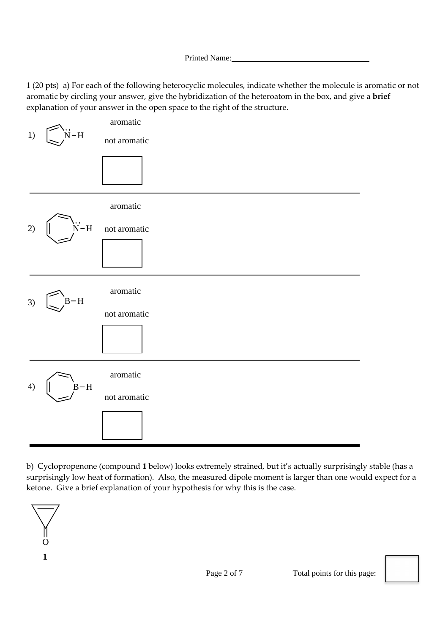1 (20 pts) a) For each of the following heterocyclic molecules, indicate whether the molecule is aromatic or not aromatic by circling your answer, give the hybridization of the heteroatom in the box, and give a **brief** explanation of your answer in the open space to the right of the structure.



b) Cyclopropenone (compound **1** below) looks extremely strained, but it's actually surprisingly stable (has a surprisingly low heat of formation). Also, the measured dipole moment is larger than one would expect for a ketone. Give a brief explanation of your hypothesis for why this is the case.

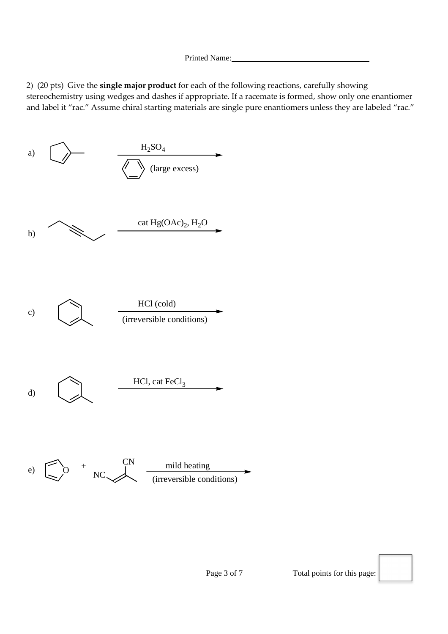Printed Name:

2) (20 pts) Give the **single major product** for each of the following reactions, carefully showing stereochemistry using wedges and dashes if appropriate. If a racemate is formed, show only one enantiomer and label it "rac." Assume chiral starting materials are single pure enantiomers unless they are labeled "rac."

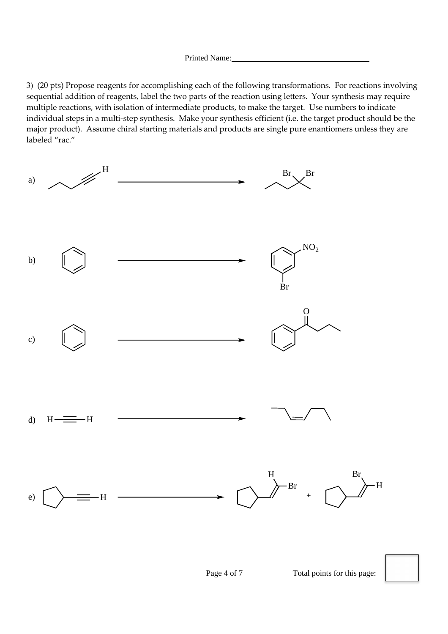3) (20 pts) Propose reagents for accomplishing each of the following transformations. For reactions involving sequential addition of reagents, label the two parts of the reaction using letters. Your synthesis may require multiple reactions, with isolation of intermediate products, to make the target. Use numbers to indicate individual steps in a multi-step synthesis. Make your synthesis efficient (i.e. the target product should be the major product). Assume chiral starting materials and products are single pure enantiomers unless they are labeled "rac."

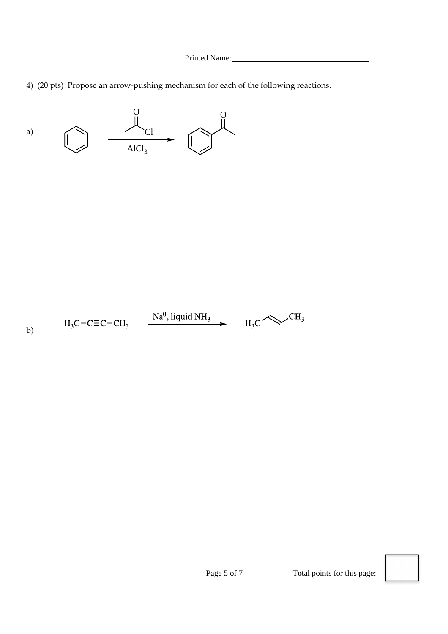4) (20 pts) Propose an arrow-pushing mechanism for each of the following reactions.



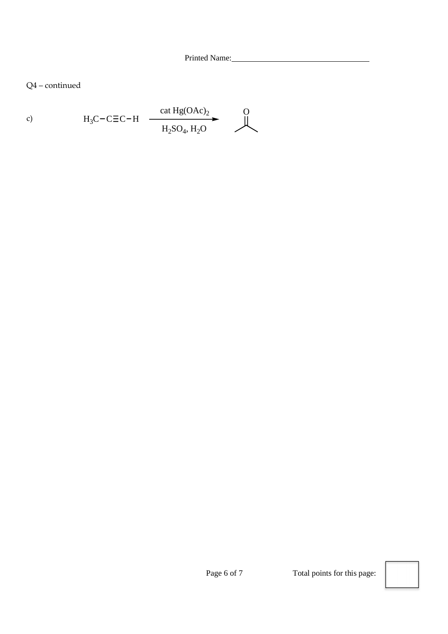Q4 – continued

c) 
$$
H_3C-C\equiv C-H
$$
  $\xrightarrow{\text{cat Hg(OAc)}_2}$  O  
\n $H_2SO_4, H_2O$  O